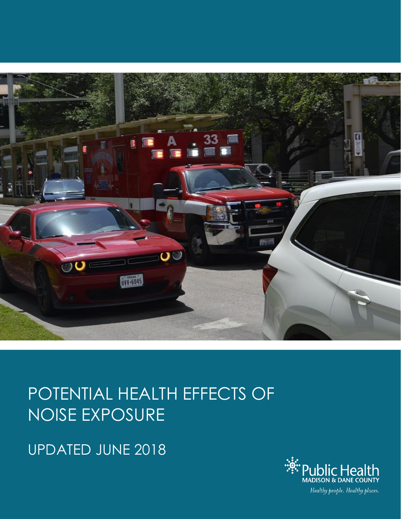

# POTENTIAL HEALTH EFFECTS OF NOISE EXPOSURE

UPDATED JUNE 2018

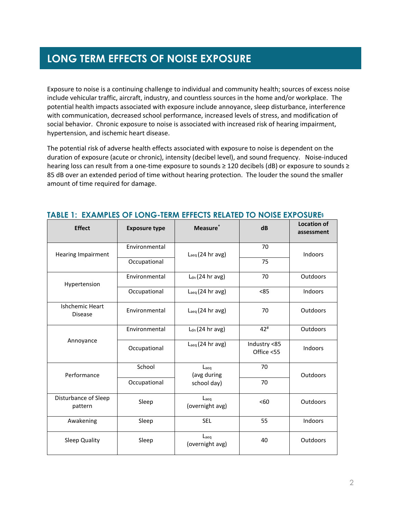## **LONG TERM EFFECTS OF NOISE EXPOSURE**

Exposure to noise is a continuing challenge to individual and community health; sources of excess noise include vehicular traffic, aircraft, industry, and countless sources in the home and/or workplace. The potential health impacts associated with exposure include annoyance, sleep disturbance, interference with communication, decreased school performance, increased levels of stress, and modification of social behavior. Chronic exposure to noise is associated with increased risk of hearing impairment, hypertension, and ischemic heart disease.

The potential risk of adverse health effects associated with exposure to noise is dependent on the duration of exposure (acute or chronic), intensity (decibel level), and sound frequency. Noise-induced hearing loss can result from a one-time exposure to sounds ≥ 120 decibels (dB) or exposure to sounds ≥ 85 dB over an extended period of time without hearing protection. The louder the sound the smaller amount of time required for damage.

| <b>Effect</b>                            | <b>Exposure type</b> | Measure <sup>*</sup>                  | dB                         | <b>Location of</b><br>assessment |
|------------------------------------------|----------------------|---------------------------------------|----------------------------|----------------------------------|
| <b>Hearing Impairment</b>                | Environmental        | $L_{\text{aeq}}(24 \text{ hr avg})$   | 70                         | Indoors                          |
|                                          | Occupational         |                                       | 75                         |                                  |
| Hypertension                             | Environmental        | $Ldn$ (24 hr avg)                     | 70                         | Outdoors                         |
|                                          | Occupational         | $L_{\text{aeq}}(24 \text{ hr avg})$   | < 85                       | Indoors                          |
| <b>Ishchemic Heart</b><br><b>Disease</b> | Environmental        | $L_{\text{aeq}}(24 \text{ hr avg})$   | 70                         | Outdoors                         |
| Annoyance                                | Environmental        | $Ldn$ (24 hr avg)                     | $42^{\#}$                  | Outdoors                         |
|                                          | Occupational         | $L_{\text{aeq}}(24 \text{ hr avg})$   | Industry <85<br>Office <55 | Indoors                          |
| Performance                              | School               | $L$ <sub>aeq</sub><br>(avg during     | 70                         | Outdoors                         |
|                                          | Occupational         | school day)                           | 70                         |                                  |
| Disturbance of Sleep<br>pattern          | Sleep                | Laeg<br>(overnight avg)               | < 60                       | Outdoors                         |
| Awakening                                | Sleep                | <b>SEL</b>                            | 55                         | Indoors                          |
| Sleep Quality                            | Sleep                | $L$ <sub>aeq</sub><br>(overnight avg) | 40                         | Outdoors                         |

#### **TABLE 1: EXAMPLES OF LONG-TERM EFFECTS RELATED TO NOISE EXPOSURE§**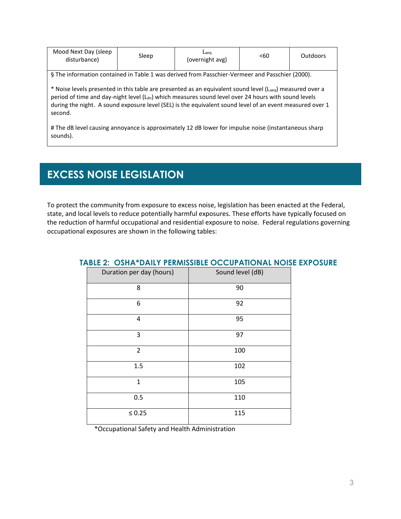| Mood Next Day (sleep<br>disturbance)                                                                                                                                                                                                                                                                                                                             | Sleep | Laeg<br>(overnight avg) | < 60 | <b>Outdoors</b> |
|------------------------------------------------------------------------------------------------------------------------------------------------------------------------------------------------------------------------------------------------------------------------------------------------------------------------------------------------------------------|-------|-------------------------|------|-----------------|
| § The information contained in Table 1 was derived from Passchier-Vermeer and Passchier (2000).                                                                                                                                                                                                                                                                  |       |                         |      |                 |
| * Noise levels presented in this table are presented as an equivalent sound level (L <sub>aeg</sub> ) measured over a<br>period of time and day-night level (L <sub>dn</sub> ) which measures sound level over 24 hours with sound levels<br>during the night. A sound exposure level (SEL) is the equivalent sound level of an event measured over 1<br>second. |       |                         |      |                 |

# The dB level causing annoyance is approximately 12 dB lower for impulse noise (instantaneous sharp sounds).

# **EXCESS NOISE LEGISLATION**

To protect the community from exposure to excess noise, legislation has been enacted at the Federal, state, and local levels to reduce potentially harmful exposures. These efforts have typically focused on the reduction of harmful occupational and residential exposure to noise. Federal regulations governing occupational exposures are shown in the following tables:

| Duration per day (hours) | Sound level (dB) |
|--------------------------|------------------|
| 8                        | 90               |
| 6                        | 92               |
| 4                        | 95               |
| 3                        | 97               |
| $\overline{2}$           | 100              |
| 1.5                      | 102              |
| $\mathbf{1}$             | 105              |
| 0.5                      | 110              |
| $\leq 0.25$              | 115              |

#### **TABLE 2: OSHA\*DAILY PERMISSIBLE OCCUPATIONAL NOISE EXPOSURE**

\*Occupational Safety and Health Administration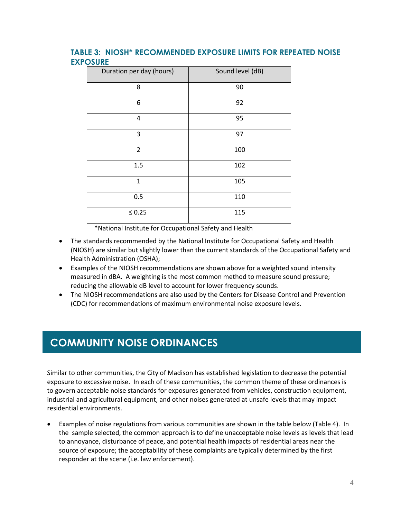### **TABLE 3: NIOSH\* RECOMMENDED EXPOSURE LIMITS FOR REPEATED NOISE EXPOSURE**

| Duration per day (hours) | Sound level (dB) |
|--------------------------|------------------|
| 8                        | 90               |
| 6                        | 92               |
| 4                        | 95               |
| 3                        | 97               |
| $\overline{2}$           | 100              |
| 1.5                      | 102              |
| $\mathbf{1}$             | 105              |
| 0.5                      | 110              |
| $\leq 0.25$              | 115              |

\*National Institute for Occupational Safety and Health

- The standards recommended by the National Institute for Occupational Safety and Health (NIOSH) are similar but slightly lower than the current standards of the Occupational Safety and Health Administration (OSHA);
- Examples of the NIOSH recommendations are shown above for a weighted sound intensity measured in dBA. A weighting is the most common method to measure sound pressure; reducing the allowable dB level to account for lower frequency sounds.
- The NIOSH recommendations are also used by the Centers for Disease Control and Prevention (CDC) for recommendations of maximum environmental noise exposure levels.

### **COMMUNITY NOISE ORDINANCES**

Similar to other communities, the City of Madison has established legislation to decrease the potential exposure to excessive noise. In each of these communities, the common theme of these ordinances is to govern acceptable noise standards for exposures generated from vehicles, construction equipment, industrial and agricultural equipment, and other noises generated at unsafe levels that may impact residential environments.

 Examples of noise regulations from various communities are shown in the table below (Table 4). In the sample selected, the common approach is to define unacceptable noise levels as levels that lead to annoyance, disturbance of peace, and potential health impacts of residential areas near the source of exposure; the acceptability of these complaints are typically determined by the first responder at the scene (i.e. law enforcement).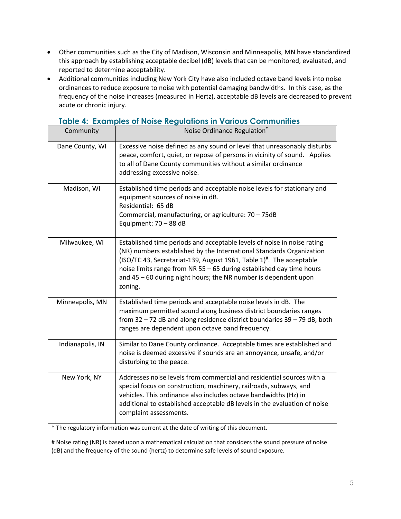- Other communities such as the City of Madison, Wisconsin and Minneapolis, MN have standardized this approach by establishing acceptable decibel (dB) levels that can be monitored, evaluated, and reported to determine acceptability.
- Additional communities including New York City have also included octave band levels into noise ordinances to reduce exposure to noise with potential damaging bandwidths. In this case, as the frequency of the noise increases (measured in Hertz), acceptable dB levels are decreased to prevent acute or chronic injury.

| Community                                                                         | Noise Ordinance Regulation <sup>®</sup>                                                                                                                                                                                                                                                                                                                                      |  |
|-----------------------------------------------------------------------------------|------------------------------------------------------------------------------------------------------------------------------------------------------------------------------------------------------------------------------------------------------------------------------------------------------------------------------------------------------------------------------|--|
| Dane County, WI                                                                   | Excessive noise defined as any sound or level that unreasonably disturbs<br>peace, comfort, quiet, or repose of persons in vicinity of sound. Applies<br>to all of Dane County communities without a similar ordinance<br>addressing excessive noise.                                                                                                                        |  |
| Madison, WI                                                                       | Established time periods and acceptable noise levels for stationary and<br>equipment sources of noise in dB.<br>Residential: 65 dB<br>Commercial, manufacturing, or agriculture: 70 - 75dB<br>Equipment: 70 - 88 dB                                                                                                                                                          |  |
| Milwaukee, WI                                                                     | Established time periods and acceptable levels of noise in noise rating<br>(NR) numbers established by the International Standards Organization<br>(ISO/TC 43, Secretariat-139, August 1961, Table 1)#. The acceptable<br>noise limits range from NR 55 - 65 during established day time hours<br>and 45 - 60 during night hours; the NR number is dependent upon<br>zoning. |  |
| Minneapolis, MN                                                                   | Established time periods and acceptable noise levels in dB. The<br>maximum permitted sound along business district boundaries ranges<br>from 32 - 72 dB and along residence district boundaries 39 - 79 dB; both<br>ranges are dependent upon octave band frequency.                                                                                                         |  |
| Indianapolis, IN                                                                  | Similar to Dane County ordinance. Acceptable times are established and<br>noise is deemed excessive if sounds are an annoyance, unsafe, and/or<br>disturbing to the peace.                                                                                                                                                                                                   |  |
| New York, NY                                                                      | Addresses noise levels from commercial and residential sources with a<br>special focus on construction, machinery, railroads, subways, and<br>vehicles. This ordinance also includes octave bandwidths (Hz) in<br>additional to established acceptable dB levels in the evaluation of noise<br>complaint assessments.                                                        |  |
| * The regulatory information was current at the date of writing of this document. |                                                                                                                                                                                                                                                                                                                                                                              |  |

### **Table 4: Examples of Noise Regulations in Various Communities**

# Noise rating (NR) is based upon a mathematical calculation that considers the sound pressure of noise (dB) and the frequency of the sound (hertz) to determine safe levels of sound exposure.